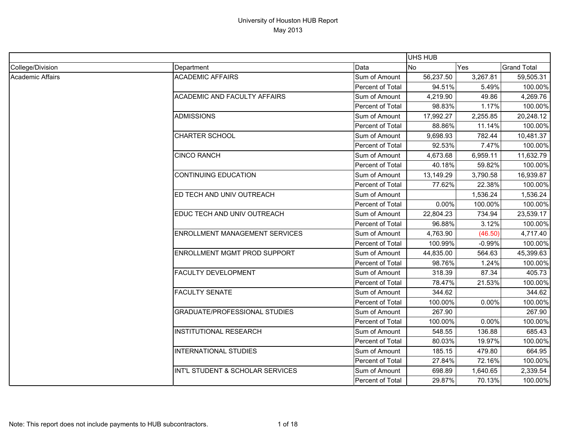|                  |                                       |                         | <b>UHS HUB</b> |            |                    |
|------------------|---------------------------------------|-------------------------|----------------|------------|--------------------|
| College/Division | Department                            | Data                    | No.            | <b>Yes</b> | <b>Grand Total</b> |
| Academic Affairs | <b>ACADEMIC AFFAIRS</b>               | Sum of Amount           | 56,237.50      | 3,267.81   | 59,505.31          |
|                  |                                       | Percent of Total        | 94.51%         | 5.49%      | 100.00%            |
|                  | <b>ACADEMIC AND FACULTY AFFAIRS</b>   | Sum of Amount           | 4,219.90       | 49.86      | 4,269.76           |
|                  |                                       | Percent of Total        | 98.83%         | 1.17%      | 100.00%            |
|                  | ADMISSIONS                            | Sum of Amount           | 17,992.27      | 2,255.85   | 20,248.12          |
|                  |                                       | Percent of Total        | 88.86%         | 11.14%     | 100.00%            |
|                  | <b>CHARTER SCHOOL</b>                 | Sum of Amount           | 9,698.93       | 782.44     | 10,481.37          |
|                  |                                       | Percent of Total        | 92.53%         | 7.47%      | 100.00%            |
|                  | <b>CINCO RANCH</b>                    | Sum of Amount           | 4,673.68       | 6,959.11   | 11,632.79          |
|                  |                                       | Percent of Total        | 40.18%         | 59.82%     | 100.00%            |
|                  | <b>CONTINUING EDUCATION</b>           | Sum of Amount           | 13,149.29      | 3,790.58   | 16,939.87          |
|                  |                                       | Percent of Total        | 77.62%         | 22.38%     | 100.00%            |
|                  | ED TECH AND UNIV OUTREACH             | Sum of Amount           |                | 1,536.24   | 1,536.24           |
|                  |                                       | Percent of Total        | 0.00%          | 100.00%    | 100.00%            |
|                  | EDUC TECH AND UNIV OUTREACH           | Sum of Amount           | 22,804.23      | 734.94     | 23,539.17          |
|                  |                                       | <b>Percent of Total</b> | 96.88%         | 3.12%      | 100.00%            |
|                  | <b>ENROLLMENT MANAGEMENT SERVICES</b> | Sum of Amount           | 4,763.90       | (46.50)    | 4,717.40           |
|                  |                                       | Percent of Total        | 100.99%        | $-0.99%$   | 100.00%            |
|                  | ENROLLMENT MGMT PROD SUPPORT          | Sum of Amount           | 44,835.00      | 564.63     | 45,399.63          |
|                  |                                       | Percent of Total        | 98.76%         | 1.24%      | 100.00%            |
|                  | <b>FACULTY DEVELOPMENT</b>            | Sum of Amount           | 318.39         | 87.34      | 405.73             |
|                  |                                       | Percent of Total        | 78.47%         | 21.53%     | 100.00%            |
|                  | <b>FACULTY SENATE</b>                 | Sum of Amount           | 344.62         |            | 344.62             |
|                  |                                       | Percent of Total        | 100.00%        | 0.00%      | 100.00%            |
|                  | <b>GRADUATE/PROFESSIONAL STUDIES</b>  | Sum of Amount           | 267.90         |            | 267.90             |
|                  |                                       | Percent of Total        | 100.00%        | 0.00%      | 100.00%            |
|                  | <b>INSTITUTIONAL RESEARCH</b>         | Sum of Amount           | 548.55         | 136.88     | 685.43             |
|                  |                                       | Percent of Total        | 80.03%         | 19.97%     | 100.00%            |
|                  | <b>INTERNATIONAL STUDIES</b>          | Sum of Amount           | 185.15         | 479.80     | 664.95             |
|                  |                                       | Percent of Total        | 27.84%         | 72.16%     | 100.00%            |
|                  | INT'L STUDENT & SCHOLAR SERVICES      | Sum of Amount           | 698.89         | 1,640.65   | 2,339.54           |
|                  |                                       | <b>Percent of Total</b> | 29.87%         | 70.13%     | 100.00%            |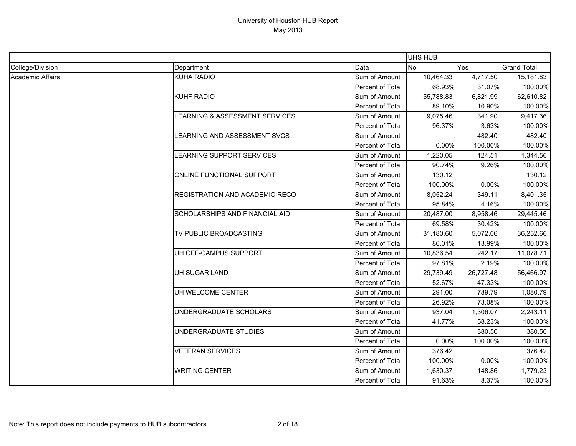|                  |                                       |                  | <b>UHS HUB</b> |           |                    |
|------------------|---------------------------------------|------------------|----------------|-----------|--------------------|
| College/Division | Department                            | Data             | <b>No</b>      | Yes       | <b>Grand Total</b> |
| Academic Affairs | <b>KUHA RADIO</b>                     | Sum of Amount    | 10,464.33      | 4,717.50  | 15,181.83          |
|                  |                                       | Percent of Total | 68.93%         | 31.07%    | 100.00%            |
|                  | <b>KUHF RADIO</b>                     | Sum of Amount    | 55,788.83      | 6,821.99  | 62,610.82          |
|                  |                                       | Percent of Total | 89.10%         | 10.90%    | 100.00%            |
|                  | LEARNING & ASSESSMENT SERVICES        | Sum of Amount    | 9,075.46       | 341.90    | 9,417.36           |
|                  |                                       | Percent of Total | 96.37%         | 3.63%     | 100.00%            |
|                  | LEARNING AND ASSESSMENT SVCS          | Sum of Amount    |                | 482.40    | 482.40             |
|                  |                                       | Percent of Total | 0.00%          | 100.00%   | 100.00%            |
|                  | LEARNING SUPPORT SERVICES             | Sum of Amount    | 1,220.05       | 124.51    | 1,344.56           |
|                  |                                       | Percent of Total | 90.74%         | 9.26%     | 100.00%            |
|                  | ONLINE FUNCTIONAL SUPPORT             | Sum of Amount    | 130.12         |           | 130.12             |
|                  |                                       | Percent of Total | 100.00%        | 0.00%     | 100.00%            |
|                  | <b>REGISTRATION AND ACADEMIC RECO</b> | Sum of Amount    | 8,052.24       | 349.11    | 8,401.35           |
|                  |                                       | Percent of Total | 95.84%         | 4.16%     | 100.00%            |
|                  | SCHOLARSHIPS AND FINANCIAL AID        | Sum of Amount    | 20,487.00      | 8,958.46  | 29,445.46          |
|                  |                                       | Percent of Total | 69.58%         | 30.42%    | 100.00%            |
|                  | TV PUBLIC BROADCASTING                | Sum of Amount    | 31,180.60      | 5,072.06  | 36,252.66          |
|                  |                                       | Percent of Total | 86.01%         | 13.99%    | 100.00%            |
|                  | UH OFF-CAMPUS SUPPORT                 | Sum of Amount    | 10,836.54      | 242.17    | 11,078.71          |
|                  |                                       | Percent of Total | 97.81%         | 2.19%     | 100.00%            |
|                  | UH SUGAR LAND                         | Sum of Amount    | 29,739.49      | 26,727.48 | 56,466.97          |
|                  |                                       | Percent of Total | 52.67%         | 47.33%    | 100.00%            |
|                  | UH WELCOME CENTER                     | Sum of Amount    | 291.00         | 789.79    | 1,080.79           |
|                  |                                       | Percent of Total | 26.92%         | 73.08%    | 100.00%            |
|                  | UNDERGRADUATE SCHOLARS                | Sum of Amount    | 937.04         | 1,306.07  | 2,243.11           |
|                  |                                       | Percent of Total | 41.77%         | 58.23%    | 100.00%            |
|                  | UNDERGRADUATE STUDIES                 | Sum of Amount    |                | 380.50    | 380.50             |
|                  |                                       | Percent of Total | 0.00%          | 100.00%   | 100.00%            |
|                  | <b>VETERAN SERVICES</b>               | Sum of Amount    | 376.42         |           | 376.42             |
|                  |                                       | Percent of Total | 100.00%        | 0.00%     | 100.00%            |
|                  | <b>WRITING CENTER</b>                 | Sum of Amount    | 1,630.37       | 148.86    | 1,779.23           |
|                  |                                       | Percent of Total | 91.63%         | 8.37%     | 100.00%            |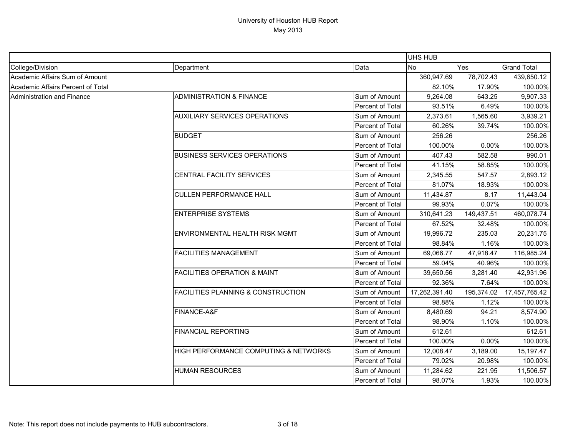|                                   |                                               |                  | UHS HUB       |            |                    |
|-----------------------------------|-----------------------------------------------|------------------|---------------|------------|--------------------|
| College/Division                  | Department                                    | Data             | <b>No</b>     | Yes        | <b>Grand Total</b> |
| Academic Affairs Sum of Amount    |                                               |                  | 360,947.69    | 78,702.43  | 439,650.12         |
| Academic Affairs Percent of Total |                                               |                  | 82.10%        | 17.90%     | 100.00%            |
| <b>Administration and Finance</b> | <b>ADMINISTRATION &amp; FINANCE</b>           | Sum of Amount    | 9,264.08      | 643.25     | 9,907.33           |
|                                   |                                               | Percent of Total | 93.51%        | 6.49%      | 100.00%            |
|                                   | <b>AUXILIARY SERVICES OPERATIONS</b>          | Sum of Amount    | 2,373.61      | 1,565.60   | 3,939.21           |
|                                   |                                               | Percent of Total | 60.26%        | 39.74%     | 100.00%            |
|                                   | <b>BUDGET</b>                                 | Sum of Amount    | 256.26        |            | 256.26             |
|                                   |                                               | Percent of Total | 100.00%       | 0.00%      | 100.00%            |
|                                   | <b>BUSINESS SERVICES OPERATIONS</b>           | Sum of Amount    | 407.43        | 582.58     | 990.01             |
|                                   |                                               | Percent of Total | 41.15%        | 58.85%     | 100.00%            |
|                                   | <b>CENTRAL FACILITY SERVICES</b>              | Sum of Amount    | 2,345.55      | 547.57     | 2,893.12           |
|                                   |                                               | Percent of Total | 81.07%        | 18.93%     | 100.00%            |
|                                   | <b>CULLEN PERFORMANCE HALL</b>                | Sum of Amount    | 11,434.87     | 8.17       | 11,443.04          |
|                                   |                                               | Percent of Total | 99.93%        | 0.07%      | 100.00%            |
|                                   | <b>ENTERPRISE SYSTEMS</b>                     | Sum of Amount    | 310,641.23    | 149,437.51 | 460,078.74         |
|                                   |                                               | Percent of Total | 67.52%        | 32.48%     | 100.00%            |
|                                   | ENVIRONMENTAL HEALTH RISK MGMT                | Sum of Amount    | 19,996.72     | 235.03     | 20,231.75          |
|                                   |                                               | Percent of Total | 98.84%        | 1.16%      | 100.00%            |
|                                   | <b>FACILITIES MANAGEMENT</b>                  | Sum of Amount    | 69,066.77     | 47,918.47  | 116,985.24         |
|                                   |                                               | Percent of Total | 59.04%        | 40.96%     | 100.00%            |
|                                   | <b>FACILITIES OPERATION &amp; MAINT</b>       | Sum of Amount    | 39,650.56     | 3,281.40   | 42,931.96          |
|                                   |                                               | Percent of Total | 92.36%        | 7.64%      | 100.00%            |
|                                   | <b>FACILITIES PLANNING &amp; CONSTRUCTION</b> | Sum of Amount    | 17,262,391.40 | 195,374.02 | 17,457,765.42      |
|                                   |                                               | Percent of Total | 98.88%        | 1.12%      | 100.00%            |
|                                   | FINANCE-A&F                                   | Sum of Amount    | 8,480.69      | 94.21      | 8,574.90           |
|                                   |                                               | Percent of Total | 98.90%        | 1.10%      | 100.00%            |
|                                   | <b>FINANCIAL REPORTING</b>                    | Sum of Amount    | 612.61        |            | 612.61             |
|                                   |                                               | Percent of Total | 100.00%       | 0.00%      | 100.00%            |
|                                   | HIGH PERFORMANCE COMPUTING & NETWORKS         | Sum of Amount    | 12,008.47     | 3,189.00   | 15, 197. 47        |
|                                   |                                               | Percent of Total | 79.02%        | 20.98%     | 100.00%            |
|                                   | <b>HUMAN RESOURCES</b>                        | Sum of Amount    | 11,284.62     | 221.95     | 11,506.57          |
|                                   |                                               | Percent of Total | 98.07%        | 1.93%      | 100.00%            |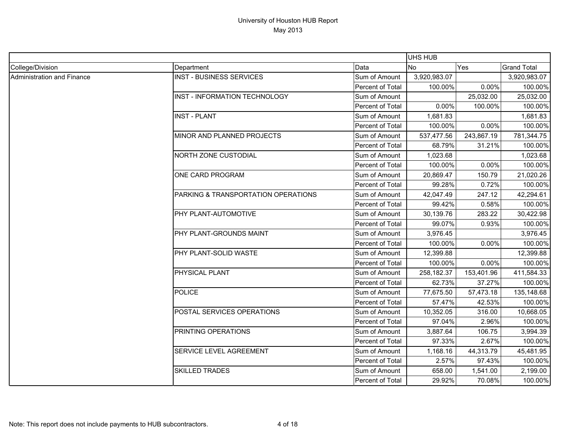|                            |                                      |                  | UHS HUB      |            |                    |
|----------------------------|--------------------------------------|------------------|--------------|------------|--------------------|
| College/Division           | Department                           | Data             | <b>No</b>    | <b>Yes</b> | <b>Grand Total</b> |
| Administration and Finance | <b>INST - BUSINESS SERVICES</b>      | Sum of Amount    | 3,920,983.07 |            | 3,920,983.07       |
|                            |                                      | Percent of Total | 100.00%      | 0.00%      | 100.00%            |
|                            | <b>INST - INFORMATION TECHNOLOGY</b> | Sum of Amount    |              | 25,032.00  | 25,032.00          |
|                            |                                      | Percent of Total | 0.00%        | 100.00%    | 100.00%            |
|                            | <b>INST - PLANT</b>                  | Sum of Amount    | 1,681.83     |            | 1,681.83           |
|                            |                                      | Percent of Total | 100.00%      | 0.00%      | 100.00%            |
|                            | MINOR AND PLANNED PROJECTS           | Sum of Amount    | 537,477.56   | 243,867.19 | 781,344.75         |
|                            |                                      | Percent of Total | 68.79%       | 31.21%     | 100.00%            |
|                            | <b>NORTH ZONE CUSTODIAL</b>          | Sum of Amount    | 1,023.68     |            | 1,023.68           |
|                            |                                      | Percent of Total | 100.00%      | 0.00%      | 100.00%            |
|                            | ONE CARD PROGRAM                     | Sum of Amount    | 20,869.47    | 150.79     | 21,020.26          |
|                            |                                      | Percent of Total | 99.28%       | 0.72%      | 100.00%            |
|                            | PARKING & TRANSPORTATION OPERATIONS  | Sum of Amount    | 42,047.49    | 247.12     | 42,294.61          |
|                            |                                      | Percent of Total | 99.42%       | 0.58%      | 100.00%            |
|                            | PHY PLANT-AUTOMOTIVE                 | Sum of Amount    | 30,139.76    | 283.22     | 30,422.98          |
|                            |                                      | Percent of Total | 99.07%       | 0.93%      | 100.00%            |
|                            | PHY PLANT-GROUNDS MAINT              | Sum of Amount    | 3,976.45     |            | 3,976.45           |
|                            |                                      | Percent of Total | 100.00%      | 0.00%      | 100.00%            |
|                            | PHY PLANT-SOLID WASTE                | Sum of Amount    | 12,399.88    |            | 12,399.88          |
|                            |                                      | Percent of Total | 100.00%      | 0.00%      | 100.00%            |
|                            | PHYSICAL PLANT                       | Sum of Amount    | 258,182.37   | 153,401.96 | 411,584.33         |
|                            |                                      | Percent of Total | 62.73%       | 37.27%     | 100.00%            |
|                            | <b>POLICE</b>                        | Sum of Amount    | 77,675.50    | 57,473.18  | 135,148.68         |
|                            |                                      | Percent of Total | 57.47%       | 42.53%     | 100.00%            |
|                            | POSTAL SERVICES OPERATIONS           | Sum of Amount    | 10,352.05    | 316.00     | 10,668.05          |
|                            |                                      | Percent of Total | 97.04%       | 2.96%      | 100.00%            |
|                            | PRINTING OPERATIONS                  | Sum of Amount    | 3,887.64     | 106.75     | 3,994.39           |
|                            |                                      | Percent of Total | 97.33%       | 2.67%      | 100.00%            |
|                            | SERVICE LEVEL AGREEMENT              | Sum of Amount    | 1,168.16     | 44,313.79  | 45,481.95          |
|                            |                                      | Percent of Total | 2.57%        | 97.43%     | 100.00%            |
|                            | <b>SKILLED TRADES</b>                | Sum of Amount    | 658.00       | 1,541.00   | 2,199.00           |
|                            |                                      | Percent of Total | 29.92%       | 70.08%     | 100.00%            |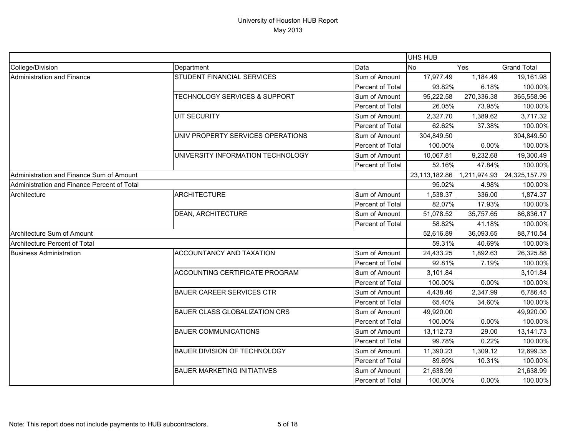|                                             |                                          |                  | <b>UHS HUB</b> |              |                    |
|---------------------------------------------|------------------------------------------|------------------|----------------|--------------|--------------------|
| College/Division                            | Department                               | Data             | <b>No</b>      | Yes          | <b>Grand Total</b> |
| Administration and Finance                  | STUDENT FINANCIAL SERVICES               | Sum of Amount    | 17,977.49      | 1,184.49     | 19,161.98          |
|                                             |                                          | Percent of Total | 93.82%         | 6.18%        | 100.00%            |
|                                             | <b>TECHNOLOGY SERVICES &amp; SUPPORT</b> | Sum of Amount    | 95,222.58      | 270,336.38   | 365,558.96         |
|                                             |                                          | Percent of Total | 26.05%         | 73.95%       | 100.00%            |
|                                             | <b>UIT SECURITY</b>                      | Sum of Amount    | 2,327.70       | 1,389.62     | 3,717.32           |
|                                             |                                          | Percent of Total | 62.62%         | 37.38%       | 100.00%            |
|                                             | UNIV PROPERTY SERVICES OPERATIONS        | Sum of Amount    | 304,849.50     |              | 304,849.50         |
|                                             |                                          | Percent of Total | 100.00%        | 0.00%        | 100.00%            |
|                                             | UNIVERSITY INFORMATION TECHNOLOGY        | Sum of Amount    | 10,067.81      | 9,232.68     | 19,300.49          |
|                                             |                                          | Percent of Total | 52.16%         | 47.84%       | 100.00%            |
| Administration and Finance Sum of Amount    |                                          |                  | 23,113,182.86  | 1,211,974.93 | 24,325,157.79      |
| Administration and Finance Percent of Total |                                          |                  | 95.02%         | 4.98%        | 100.00%            |
| Architecture                                | <b>ARCHITECTURE</b>                      | Sum of Amount    | 1,538.37       | 336.00       | 1,874.37           |
|                                             |                                          | Percent of Total | 82.07%         | 17.93%       | 100.00%            |
|                                             | <b>DEAN, ARCHITECTURE</b>                | Sum of Amount    | 51,078.52      | 35,757.65    | 86,836.17          |
|                                             |                                          | Percent of Total | 58.82%         | 41.18%       | 100.00%            |
| Architecture Sum of Amount                  |                                          |                  | 52,616.89      | 36,093.65    | 88,710.54          |
| Architecture Percent of Total               |                                          |                  | 59.31%         | 40.69%       | 100.00%            |
| <b>Business Administration</b>              | ACCOUNTANCY AND TAXATION                 | Sum of Amount    | 24,433.25      | 1,892.63     | 26,325.88          |
|                                             |                                          | Percent of Total | 92.81%         | 7.19%        | 100.00%            |
|                                             | <b>ACCOUNTING CERTIFICATE PROGRAM</b>    | Sum of Amount    | 3,101.84       |              | 3,101.84           |
|                                             |                                          | Percent of Total | 100.00%        | 0.00%        | 100.00%            |
|                                             | <b>BAUER CAREER SERVICES CTR</b>         | Sum of Amount    | 4,438.46       | 2,347.99     | 6,786.45           |
|                                             |                                          | Percent of Total | 65.40%         | 34.60%       | 100.00%            |
|                                             | <b>BAUER CLASS GLOBALIZATION CRS</b>     | Sum of Amount    | 49,920.00      |              | 49,920.00          |
|                                             |                                          | Percent of Total | 100.00%        | 0.00%        | 100.00%            |
|                                             | <b>BAUER COMMUNICATIONS</b>              | Sum of Amount    | 13,112.73      | 29.00        | 13,141.73          |
|                                             |                                          | Percent of Total | 99.78%         | 0.22%        | 100.00%            |
|                                             | <b>BAUER DIVISION OF TECHNOLOGY</b>      | Sum of Amount    | 11,390.23      | 1,309.12     | 12,699.35          |
|                                             |                                          | Percent of Total | 89.69%         | 10.31%       | 100.00%            |
|                                             | <b>BAUER MARKETING INITIATIVES</b>       | Sum of Amount    | 21,638.99      |              | 21,638.99          |
|                                             |                                          | Percent of Total | 100.00%        | 0.00%        | 100.00%            |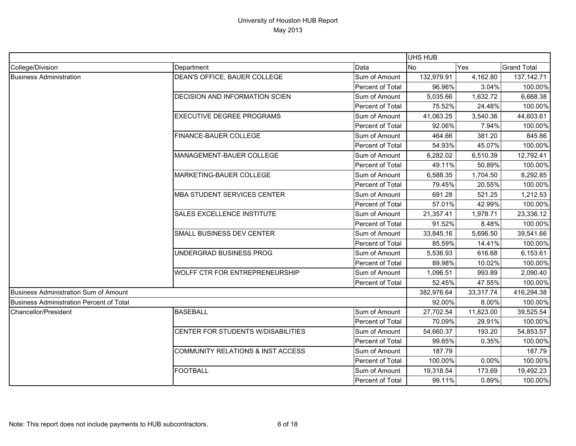|                                                 |                                              |                         | UHS HUB    |           |                    |
|-------------------------------------------------|----------------------------------------------|-------------------------|------------|-----------|--------------------|
| College/Division                                | Department                                   | Data                    | <b>No</b>  | Yes       | <b>Grand Total</b> |
| <b>Business Administration</b>                  | DEAN'S OFFICE, BAUER COLLEGE                 | Sum of Amount           | 132,979.91 | 4,162.80  | 137, 142. 71       |
|                                                 |                                              | Percent of Total        | 96.96%     | 3.04%     | 100.00%            |
|                                                 | DECISION AND INFORMATION SCIEN               | Sum of Amount           | 5,035.66   | 1,632.72  | 6,668.38           |
|                                                 |                                              | Percent of Total        | 75.52%     | 24.48%    | 100.00%            |
|                                                 | <b>EXECUTIVE DEGREE PROGRAMS</b>             | Sum of Amount           | 41,063.25  | 3,540.36  | 44,603.61          |
|                                                 |                                              | Percent of Total        | 92.06%     | 7.94%     | 100.00%            |
|                                                 | FINANCE-BAUER COLLEGE                        | Sum of Amount           | 464.66     | 381.20    | 845.86             |
|                                                 |                                              | <b>Percent of Total</b> | 54.93%     | 45.07%    | 100.00%            |
|                                                 | MANAGEMENT-BAUER COLLEGE                     | Sum of Amount           | 6,282.02   | 6,510.39  | 12,792.41          |
|                                                 |                                              | Percent of Total        | 49.11%     | 50.89%    | 100.00%            |
|                                                 | MARKETING-BAUER COLLEGE                      | Sum of Amount           | 6,588.35   | 1,704.50  | 8,292.85           |
|                                                 |                                              | Percent of Total        | 79.45%     | 20.55%    | 100.00%            |
|                                                 | MBA STUDENT SERVICES CENTER                  | Sum of Amount           | 691.28     | 521.25    | 1,212.53           |
|                                                 |                                              | Percent of Total        | 57.01%     | 42.99%    | 100.00%            |
|                                                 | SALES EXCELLENCE INSTITUTE                   | Sum of Amount           | 21,357.41  | 1,978.71  | 23,336.12          |
|                                                 |                                              | Percent of Total        | 91.52%     | 8.48%     | 100.00%            |
|                                                 | SMALL BUSINESS DEV CENTER                    | Sum of Amount           | 33,845.16  | 5,696.50  | 39,541.66          |
|                                                 |                                              | Percent of Total        | 85.59%     | 14.41%    | 100.00%            |
|                                                 | UNDERGRAD BUSINESS PROG                      | Sum of Amount           | 5,536.93   | 616.68    | 6,153.61           |
|                                                 |                                              | Percent of Total        | 89.98%     | 10.02%    | 100.00%            |
|                                                 | WOLFF CTR FOR ENTREPRENEURSHIP               | Sum of Amount           | 1,096.51   | 993.89    | 2,090.40           |
|                                                 |                                              | Percent of Total        | 52.45%     | 47.55%    | 100.00%            |
| <b>Business Administration Sum of Amount</b>    |                                              |                         | 382,976.64 | 33,317.74 | 416,294.38         |
| <b>Business Administration Percent of Total</b> |                                              |                         | 92.00%     | 8.00%     | 100.00%            |
| <b>Chancellor/President</b>                     | <b>BASEBALL</b>                              | Sum of Amount           | 27,702.54  | 11,823.00 | 39,525.54          |
|                                                 |                                              | Percent of Total        | 70.09%     | 29.91%    | 100.00%            |
|                                                 | CENTER FOR STUDENTS W/DISABILITIES           | Sum of Amount           | 54,660.37  | 193.20    | 54,853.57          |
|                                                 |                                              | Percent of Total        | 99.65%     | 0.35%     | 100.00%            |
|                                                 | <b>COMMUNITY RELATIONS &amp; INST ACCESS</b> | Sum of Amount           | 187.79     |           | 187.79             |
|                                                 |                                              | Percent of Total        | 100.00%    | 0.00%     | 100.00%            |
|                                                 | <b>FOOTBALL</b>                              | Sum of Amount           | 19,318.54  | 173.69    | 19,492.23          |
|                                                 |                                              | Percent of Total        | 99.11%     | 0.89%     | 100.00%            |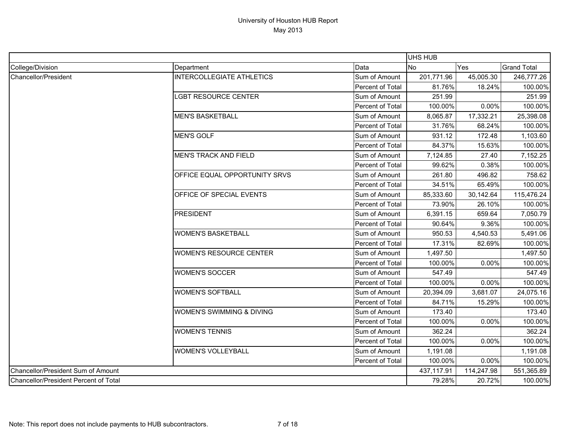|                                              |                                  |                  | <b>UHS HUB</b> |            |                    |
|----------------------------------------------|----------------------------------|------------------|----------------|------------|--------------------|
| College/Division                             | Department                       | Data             | <b>No</b>      | Yes        | <b>Grand Total</b> |
| Chancellor/President                         | <b>INTERCOLLEGIATE ATHLETICS</b> | Sum of Amount    | 201,771.96     | 45,005.30  | 246,777.26         |
|                                              |                                  | Percent of Total | 81.76%         | 18.24%     | 100.00%            |
|                                              | LGBT RESOURCE CENTER             | Sum of Amount    | 251.99         |            | 251.99             |
|                                              |                                  | Percent of Total | 100.00%        | 0.00%      | 100.00%            |
|                                              | <b>MEN'S BASKETBALL</b>          | Sum of Amount    | 8,065.87       | 17,332.21  | 25,398.08          |
|                                              |                                  | Percent of Total | 31.76%         | 68.24%     | 100.00%            |
|                                              | <b>MEN'S GOLF</b>                | Sum of Amount    | 931.12         | 172.48     | 1,103.60           |
|                                              |                                  | Percent of Total | 84.37%         | 15.63%     | 100.00%            |
|                                              | <b>MEN'S TRACK AND FIELD</b>     | Sum of Amount    | 7,124.85       | 27.40      | 7,152.25           |
|                                              |                                  | Percent of Total | 99.62%         | 0.38%      | 100.00%            |
|                                              | OFFICE EQUAL OPPORTUNITY SRVS    | Sum of Amount    | 261.80         | 496.82     | 758.62             |
|                                              |                                  | Percent of Total | 34.51%         | 65.49%     | 100.00%            |
|                                              | OFFICE OF SPECIAL EVENTS         | Sum of Amount    | 85,333.60      | 30,142.64  | 115,476.24         |
|                                              |                                  | Percent of Total | 73.90%         | 26.10%     | 100.00%            |
|                                              | <b>PRESIDENT</b>                 | Sum of Amount    | 6,391.15       | 659.64     | 7,050.79           |
|                                              |                                  | Percent of Total | 90.64%         | 9.36%      | 100.00%            |
|                                              | <b>WOMEN'S BASKETBALL</b>        | Sum of Amount    | 950.53         | 4,540.53   | 5,491.06           |
|                                              |                                  | Percent of Total | 17.31%         | 82.69%     | 100.00%            |
|                                              | <b>WOMEN'S RESOURCE CENTER</b>   | Sum of Amount    | 1,497.50       |            | 1,497.50           |
|                                              |                                  | Percent of Total | 100.00%        | 0.00%      | 100.00%            |
|                                              | <b>WOMEN'S SOCCER</b>            | Sum of Amount    | 547.49         |            | 547.49             |
|                                              |                                  | Percent of Total | 100.00%        | 0.00%      | 100.00%            |
|                                              | <b>WOMEN'S SOFTBALL</b>          | Sum of Amount    | 20,394.09      | 3,681.07   | 24,075.16          |
|                                              |                                  | Percent of Total | 84.71%         | 15.29%     | 100.00%            |
|                                              | WOMEN'S SWIMMING & DIVING        | Sum of Amount    | 173.40         |            | 173.40             |
|                                              |                                  | Percent of Total | 100.00%        | 0.00%      | 100.00%            |
|                                              | <b>WOMEN'S TENNIS</b>            | Sum of Amount    | 362.24         |            | 362.24             |
|                                              |                                  | Percent of Total | 100.00%        | 0.00%      | 100.00%            |
|                                              | <b>WOMEN'S VOLLEYBALL</b>        | Sum of Amount    | 1,191.08       |            | 1,191.08           |
|                                              |                                  | Percent of Total | 100.00%        | 0.00%      | 100.00%            |
| Chancellor/President Sum of Amount           |                                  |                  | 437,117.91     | 114,247.98 | 551,365.89         |
| <b>Chancellor/President Percent of Total</b> |                                  |                  | 79.28%         | 20.72%     | 100.00%            |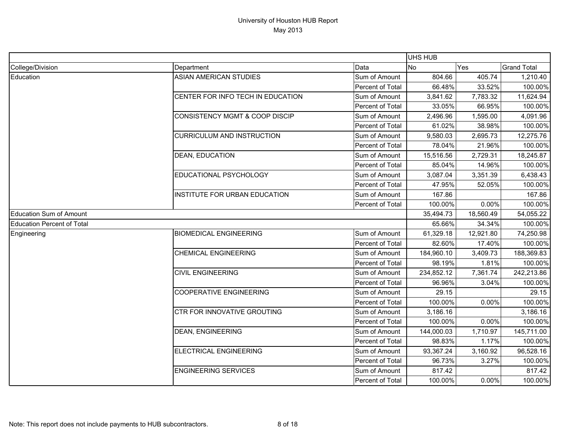|                                   |                                      |                  | UHS HUB    |           |                    |
|-----------------------------------|--------------------------------------|------------------|------------|-----------|--------------------|
| College/Division                  | Department                           | Data             | <b>No</b>  | Yes       | <b>Grand Total</b> |
| Education                         | <b>ASIAN AMERICAN STUDIES</b>        | Sum of Amount    | 804.66     | 405.74    | 1,210.40           |
|                                   |                                      | Percent of Total | 66.48%     | 33.52%    | 100.00%            |
|                                   | CENTER FOR INFO TECH IN EDUCATION    | Sum of Amount    | 3,841.62   | 7,783.32  | 11,624.94          |
|                                   |                                      | Percent of Total | 33.05%     | 66.95%    | 100.00%            |
|                                   | CONSISTENCY MGMT & COOP DISCIP       | Sum of Amount    | 2,496.96   | 1,595.00  | 4,091.96           |
|                                   |                                      | Percent of Total | 61.02%     | 38.98%    | 100.00%            |
|                                   | CURRICULUM AND INSTRUCTION           | Sum of Amount    | 9,580.03   | 2,695.73  | 12,275.76          |
|                                   |                                      | Percent of Total | 78.04%     | 21.96%    | 100.00%            |
|                                   | DEAN, EDUCATION                      | Sum of Amount    | 15,516.56  | 2,729.31  | 18,245.87          |
|                                   |                                      | Percent of Total | 85.04%     | 14.96%    | 100.00%            |
|                                   | EDUCATIONAL PSYCHOLOGY               | Sum of Amount    | 3,087.04   | 3,351.39  | 6,438.43           |
|                                   |                                      | Percent of Total | 47.95%     | 52.05%    | 100.00%            |
|                                   | <b>INSTITUTE FOR URBAN EDUCATION</b> | Sum of Amount    | 167.86     |           | 167.86             |
|                                   |                                      | Percent of Total | 100.00%    | 0.00%     | 100.00%            |
| <b>Education Sum of Amount</b>    |                                      |                  | 35,494.73  | 18,560.49 | 54,055.22          |
| <b>Education Percent of Total</b> |                                      |                  | 65.66%     | 34.34%    | 100.00%            |
| Engineering                       | <b>BIOMEDICAL ENGINEERING</b>        | Sum of Amount    | 61,329.18  | 12,921.80 | 74,250.98          |
|                                   |                                      | Percent of Total | 82.60%     | 17.40%    | 100.00%            |
|                                   | <b>CHEMICAL ENGINEERING</b>          | Sum of Amount    | 184,960.10 | 3,409.73  | 188,369.83         |
|                                   |                                      | Percent of Total | 98.19%     | 1.81%     | 100.00%            |
|                                   | <b>CIVIL ENGINEERING</b>             | Sum of Amount    | 234,852.12 | 7,361.74  | 242,213.86         |
|                                   |                                      | Percent of Total | 96.96%     | 3.04%     | 100.00%            |
|                                   | <b>COOPERATIVE ENGINEERING</b>       | Sum of Amount    | 29.15      |           | 29.15              |
|                                   |                                      | Percent of Total | 100.00%    | 0.00%     | 100.00%            |
|                                   | CTR FOR INNOVATIVE GROUTING          | Sum of Amount    | 3,186.16   |           | 3,186.16           |
|                                   |                                      | Percent of Total | 100.00%    | 0.00%     | 100.00%            |
|                                   | <b>DEAN, ENGINEERING</b>             | Sum of Amount    | 144,000.03 | 1,710.97  | 145,711.00         |
|                                   |                                      | Percent of Total | 98.83%     | 1.17%     | 100.00%            |
|                                   | <b>ELECTRICAL ENGINEERING</b>        | Sum of Amount    | 93,367.24  | 3,160.92  | 96,528.16          |
|                                   |                                      | Percent of Total | 96.73%     | 3.27%     | 100.00%            |
|                                   | <b>ENGINEERING SERVICES</b>          | Sum of Amount    | 817.42     |           | 817.42             |
|                                   |                                      | Percent of Total | 100.00%    | 0.00%     | 100.00%            |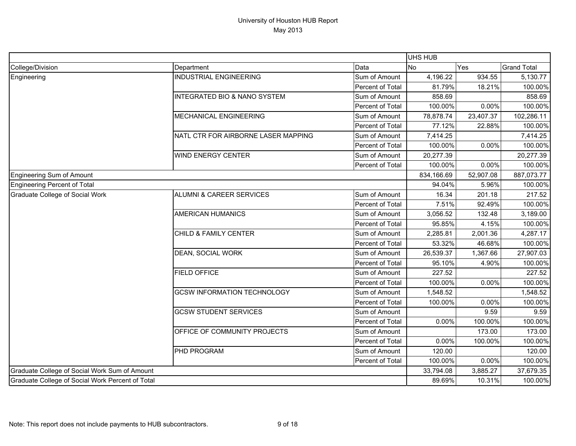|                                                  |                                         |                  | UHS HUB    |           |                    |
|--------------------------------------------------|-----------------------------------------|------------------|------------|-----------|--------------------|
| College/Division                                 | Department                              | Data             | <b>No</b>  | Yes       | <b>Grand Total</b> |
| Engineering                                      | <b>INDUSTRIAL ENGINEERING</b>           | Sum of Amount    | 4,196.22   | 934.55    | 5,130.77           |
|                                                  |                                         | Percent of Total | 81.79%     | 18.21%    | 100.00%            |
|                                                  | <b>INTEGRATED BIO &amp; NANO SYSTEM</b> | Sum of Amount    | 858.69     |           | 858.69             |
|                                                  |                                         | Percent of Total | 100.00%    | 0.00%     | 100.00%            |
|                                                  | MECHANICAL ENGINEERING                  | Sum of Amount    | 78,878.74  | 23,407.37 | 102,286.11         |
|                                                  |                                         | Percent of Total | 77.12%     | 22.88%    | 100.00%            |
|                                                  | NATL CTR FOR AIRBORNE LASER MAPPING     | Sum of Amount    | 7,414.25   |           | 7,414.25           |
|                                                  |                                         | Percent of Total | 100.00%    | 0.00%     | 100.00%            |
|                                                  | WIND ENERGY CENTER                      | Sum of Amount    | 20,277.39  |           | 20,277.39          |
|                                                  |                                         | Percent of Total | 100.00%    | 0.00%     | 100.00%            |
| Engineering Sum of Amount                        |                                         |                  | 834,166.69 | 52,907.08 | 887,073.77         |
| Engineering Percent of Total                     |                                         |                  | 94.04%     | 5.96%     | 100.00%            |
| <b>Graduate College of Social Work</b>           | <b>ALUMNI &amp; CAREER SERVICES</b>     | Sum of Amount    | 16.34      | 201.18    | 217.52             |
|                                                  |                                         | Percent of Total | 7.51%      | 92.49%    | 100.00%            |
|                                                  | <b>AMERICAN HUMANICS</b>                | Sum of Amount    | 3,056.52   | 132.48    | 3,189.00           |
|                                                  |                                         | Percent of Total | 95.85%     | 4.15%     | 100.00%            |
|                                                  | CHILD & FAMILY CENTER                   | Sum of Amount    | 2,285.81   | 2,001.36  | 4,287.17           |
|                                                  |                                         | Percent of Total | 53.32%     | 46.68%    | 100.00%            |
|                                                  | DEAN, SOCIAL WORK                       | Sum of Amount    | 26,539.37  | 1,367.66  | 27,907.03          |
|                                                  |                                         | Percent of Total | 95.10%     | 4.90%     | 100.00%            |
|                                                  | <b>FIELD OFFICE</b>                     | Sum of Amount    | 227.52     |           | 227.52             |
|                                                  |                                         | Percent of Total | 100.00%    | 0.00%     | 100.00%            |
|                                                  | <b>GCSW INFORMATION TECHNOLOGY</b>      | Sum of Amount    | 1,548.52   |           | 1,548.52           |
|                                                  |                                         | Percent of Total | 100.00%    | 0.00%     | 100.00%            |
|                                                  | <b>GCSW STUDENT SERVICES</b>            | Sum of Amount    |            | 9.59      | 9.59               |
|                                                  |                                         | Percent of Total | 0.00%      | 100.00%   | 100.00%            |
|                                                  | OFFICE OF COMMUNITY PROJECTS            | Sum of Amount    |            | 173.00    | 173.00             |
|                                                  |                                         | Percent of Total | 0.00%      | 100.00%   | 100.00%            |
|                                                  | PHD PROGRAM                             | Sum of Amount    | 120.00     |           | 120.00             |
|                                                  |                                         | Percent of Total | 100.00%    | 0.00%     | 100.00%            |
| Graduate College of Social Work Sum of Amount    |                                         |                  | 33,794.08  | 3,885.27  | 37,679.35          |
| Graduate College of Social Work Percent of Total |                                         |                  | 89.69%     | 10.31%    | 100.00%            |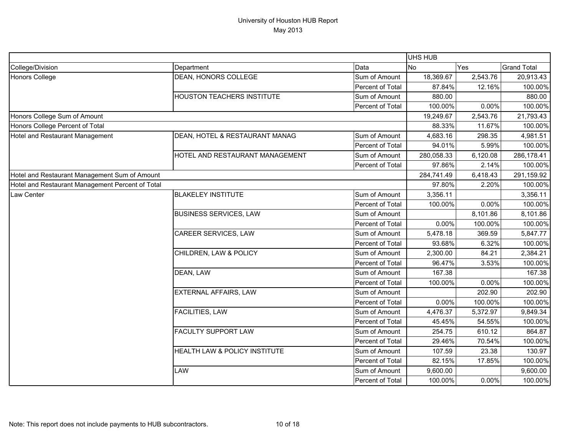|                                                  |                                   |                  | <b>UHS HUB</b> |          |                    |
|--------------------------------------------------|-----------------------------------|------------------|----------------|----------|--------------------|
| College/Division                                 | Department                        | Data             | <b>No</b>      | Yes      | <b>Grand Total</b> |
| Honors College                                   | DEAN, HONORS COLLEGE              | Sum of Amount    | 18,369.67      | 2,543.76 | 20,913.43          |
|                                                  |                                   | Percent of Total | 87.84%         | 12.16%   | 100.00%            |
|                                                  | <b>HOUSTON TEACHERS INSTITUTE</b> | Sum of Amount    | 880.00         |          | 880.00             |
|                                                  |                                   | Percent of Total | 100.00%        | 0.00%    | 100.00%            |
| Honors College Sum of Amount                     |                                   |                  | 19,249.67      | 2,543.76 | 21,793.43          |
| Honors College Percent of Total                  |                                   |                  | 88.33%         | 11.67%   | 100.00%            |
| Hotel and Restaurant Management                  | DEAN, HOTEL & RESTAURANT MANAG    | Sum of Amount    | 4,683.16       | 298.35   | 4,981.51           |
|                                                  |                                   | Percent of Total | 94.01%         | 5.99%    | 100.00%            |
|                                                  | HOTEL AND RESTAURANT MANAGEMENT   | Sum of Amount    | 280,058.33     | 6,120.08 | 286,178.41         |
|                                                  |                                   | Percent of Total | 97.86%         | 2.14%    | 100.00%            |
| Hotel and Restaurant Management Sum of Amount    |                                   |                  | 284,741.49     | 6,418.43 | 291,159.92         |
| Hotel and Restaurant Management Percent of Total |                                   |                  | 97.80%         | 2.20%    | 100.00%            |
| Law Center                                       | <b>BLAKELEY INSTITUTE</b>         | Sum of Amount    | 3,356.11       |          | 3,356.11           |
|                                                  |                                   | Percent of Total | 100.00%        | 0.00%    | 100.00%            |
|                                                  | <b>BUSINESS SERVICES, LAW</b>     | Sum of Amount    |                | 8,101.86 | 8,101.86           |
|                                                  |                                   | Percent of Total | 0.00%          | 100.00%  | 100.00%            |
|                                                  | <b>CAREER SERVICES, LAW</b>       | Sum of Amount    | 5,478.18       | 369.59   | 5,847.77           |
|                                                  |                                   | Percent of Total | 93.68%         | 6.32%    | 100.00%            |
|                                                  | CHILDREN, LAW & POLICY            | Sum of Amount    | 2,300.00       | 84.21    | 2,384.21           |
|                                                  |                                   | Percent of Total | 96.47%         | 3.53%    | 100.00%            |
|                                                  | DEAN, LAW                         | Sum of Amount    | 167.38         |          | 167.38             |
|                                                  |                                   | Percent of Total | 100.00%        | 0.00%    | 100.00%            |
|                                                  | <b>EXTERNAL AFFAIRS, LAW</b>      | Sum of Amount    |                | 202.90   | 202.90             |
|                                                  |                                   | Percent of Total | 0.00%          | 100.00%  | 100.00%            |
|                                                  | <b>FACILITIES, LAW</b>            | Sum of Amount    | 4,476.37       | 5,372.97 | 9,849.34           |
|                                                  |                                   | Percent of Total | 45.45%         | 54.55%   | 100.00%            |
|                                                  | <b>FACULTY SUPPORT LAW</b>        | Sum of Amount    | 254.75         | 610.12   | 864.87             |
|                                                  |                                   | Percent of Total | 29.46%         | 70.54%   | 100.00%            |
|                                                  | HEALTH LAW & POLICY INSTITUTE     | Sum of Amount    | 107.59         | 23.38    | 130.97             |
|                                                  |                                   | Percent of Total | 82.15%         | 17.85%   | 100.00%            |
|                                                  | <b>LAW</b>                        | Sum of Amount    | 9,600.00       |          | 9,600.00           |
|                                                  |                                   | Percent of Total | 100.00%        | 0.00%    | 100.00%            |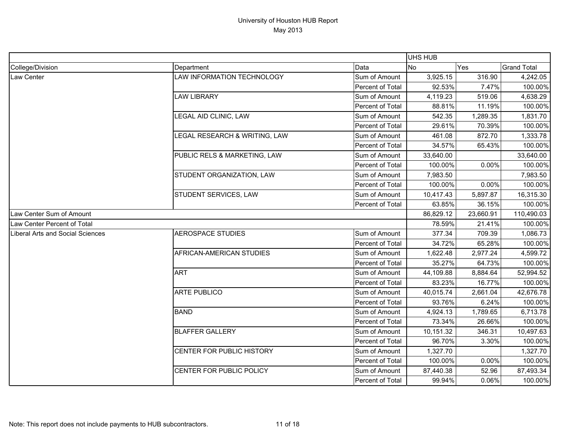|                                  |                               |                  | UHS HUB   |           |                    |
|----------------------------------|-------------------------------|------------------|-----------|-----------|--------------------|
| College/Division                 | Department                    | Data             | <b>No</b> | Yes       | <b>Grand Total</b> |
| Law Center                       | LAW INFORMATION TECHNOLOGY    | Sum of Amount    | 3,925.15  | 316.90    | 4,242.05           |
|                                  |                               | Percent of Total | 92.53%    | 7.47%     | 100.00%            |
|                                  | <b>LAW LIBRARY</b>            | Sum of Amount    | 4,119.23  | 519.06    | 4,638.29           |
|                                  |                               | Percent of Total | 88.81%    | 11.19%    | 100.00%            |
|                                  | LEGAL AID CLINIC, LAW         | Sum of Amount    | 542.35    | 1,289.35  | 1,831.70           |
|                                  |                               | Percent of Total | 29.61%    | 70.39%    | 100.00%            |
|                                  | LEGAL RESEARCH & WRITING, LAW | Sum of Amount    | 461.08    | 872.70    | 1,333.78           |
|                                  |                               | Percent of Total | 34.57%    | 65.43%    | 100.00%            |
|                                  | PUBLIC RELS & MARKETING, LAW  | Sum of Amount    | 33,640.00 |           | 33,640.00          |
|                                  |                               | Percent of Total | 100.00%   | 0.00%     | 100.00%            |
|                                  | STUDENT ORGANIZATION, LAW     | Sum of Amount    | 7,983.50  |           | 7,983.50           |
|                                  |                               | Percent of Total | 100.00%   | 0.00%     | 100.00%            |
|                                  | STUDENT SERVICES, LAW         | Sum of Amount    | 10,417.43 | 5,897.87  | 16,315.30          |
|                                  |                               | Percent of Total | 63.85%    | 36.15%    | 100.00%            |
| Law Center Sum of Amount         |                               |                  | 86,829.12 | 23,660.91 | 110,490.03         |
| Law Center Percent of Total      |                               |                  | 78.59%    | 21.41%    | 100.00%            |
| Liberal Arts and Social Sciences | <b>AEROSPACE STUDIES</b>      | Sum of Amount    | 377.34    | 709.39    | 1,086.73           |
|                                  |                               | Percent of Total | 34.72%    | 65.28%    | 100.00%            |
|                                  | AFRICAN-AMERICAN STUDIES      | Sum of Amount    | 1,622.48  | 2,977.24  | 4,599.72           |
|                                  |                               | Percent of Total | 35.27%    | 64.73%    | 100.00%            |
|                                  | <b>ART</b>                    | Sum of Amount    | 44,109.88 | 8,884.64  | 52,994.52          |
|                                  |                               | Percent of Total | 83.23%    | 16.77%    | 100.00%            |
|                                  | <b>ARTE PUBLICO</b>           | Sum of Amount    | 40,015.74 | 2,661.04  | 42,676.78          |
|                                  |                               | Percent of Total | 93.76%    | 6.24%     | 100.00%            |
|                                  | <b>BAND</b>                   | Sum of Amount    | 4,924.13  | 1,789.65  | 6,713.78           |
|                                  |                               | Percent of Total | 73.34%    | 26.66%    | 100.00%            |
|                                  | <b>BLAFFER GALLERY</b>        | Sum of Amount    | 10,151.32 | 346.31    | 10,497.63          |
|                                  |                               | Percent of Total | 96.70%    | 3.30%     | 100.00%            |
|                                  | CENTER FOR PUBLIC HISTORY     | Sum of Amount    | 1,327.70  |           | 1,327.70           |
|                                  |                               | Percent of Total | 100.00%   | 0.00%     | 100.00%            |
|                                  | CENTER FOR PUBLIC POLICY      | Sum of Amount    | 87,440.38 | 52.96     | 87,493.34          |
|                                  |                               | Percent of Total | 99.94%    | 0.06%     | 100.00%            |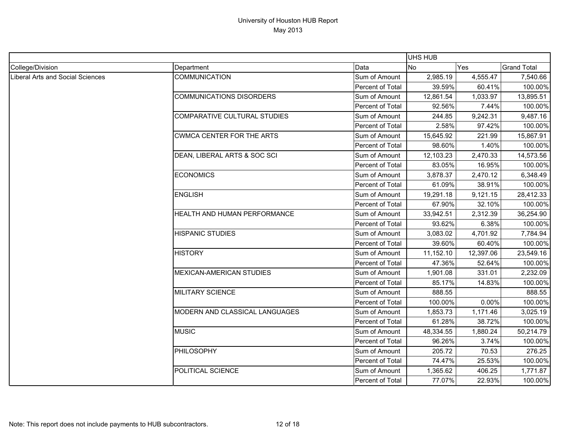|                                         |                                  |                  | <b>UHS HUB</b> |           |                    |
|-----------------------------------------|----------------------------------|------------------|----------------|-----------|--------------------|
| College/Division                        | Department                       | Data             | No             | Yes       | <b>Grand Total</b> |
| <b>Liberal Arts and Social Sciences</b> | <b>COMMUNICATION</b>             | Sum of Amount    | 2,985.19       | 4,555.47  | 7,540.66           |
|                                         |                                  | Percent of Total | 39.59%         | 60.41%    | 100.00%            |
|                                         | <b>COMMUNICATIONS DISORDERS</b>  | Sum of Amount    | 12,861.54      | 1,033.97  | 13,895.51          |
|                                         |                                  | Percent of Total | 92.56%         | 7.44%     | 100.00%            |
|                                         | COMPARATIVE CULTURAL STUDIES     | Sum of Amount    | 244.85         | 9,242.31  | 9,487.16           |
|                                         |                                  | Percent of Total | 2.58%          | 97.42%    | 100.00%            |
|                                         | <b>CWMCA CENTER FOR THE ARTS</b> | Sum of Amount    | 15,645.92      | 221.99    | 15,867.91          |
|                                         |                                  | Percent of Total | 98.60%         | 1.40%     | 100.00%            |
|                                         | DEAN, LIBERAL ARTS & SOC SCI     | Sum of Amount    | 12,103.23      | 2,470.33  | 14,573.56          |
|                                         |                                  | Percent of Total | 83.05%         | 16.95%    | 100.00%            |
|                                         | <b>ECONOMICS</b>                 | Sum of Amount    | 3,878.37       | 2,470.12  | 6,348.49           |
|                                         |                                  | Percent of Total | 61.09%         | 38.91%    | 100.00%            |
|                                         | <b>ENGLISH</b>                   | Sum of Amount    | 19,291.18      | 9,121.15  | 28,412.33          |
|                                         |                                  | Percent of Total | 67.90%         | 32.10%    | 100.00%            |
|                                         | HEALTH AND HUMAN PERFORMANCE     | Sum of Amount    | 33,942.51      | 2,312.39  | 36,254.90          |
|                                         |                                  | Percent of Total | 93.62%         | 6.38%     | 100.00%            |
|                                         | <b>HISPANIC STUDIES</b>          | Sum of Amount    | 3,083.02       | 4,701.92  | 7,784.94           |
|                                         |                                  | Percent of Total | 39.60%         | 60.40%    | 100.00%            |
|                                         | <b>HISTORY</b>                   | Sum of Amount    | 11,152.10      | 12,397.06 | 23,549.16          |
|                                         |                                  | Percent of Total | 47.36%         | 52.64%    | 100.00%            |
|                                         | <b>MEXICAN-AMERICAN STUDIES</b>  | Sum of Amount    | 1,901.08       | 331.01    | 2,232.09           |
|                                         |                                  | Percent of Total | 85.17%         | 14.83%    | 100.00%            |
|                                         | <b>MILITARY SCIENCE</b>          | Sum of Amount    | 888.55         |           | 888.55             |
|                                         |                                  | Percent of Total | 100.00%        | 0.00%     | 100.00%            |
|                                         | MODERN AND CLASSICAL LANGUAGES   | Sum of Amount    | 1,853.73       | 1,171.46  | 3,025.19           |
|                                         |                                  | Percent of Total | 61.28%         | 38.72%    | 100.00%            |
|                                         | <b>MUSIC</b>                     | Sum of Amount    | 48,334.55      | 1,880.24  | 50,214.79          |
|                                         |                                  | Percent of Total | 96.26%         | 3.74%     | 100.00%            |
|                                         | <b>PHILOSOPHY</b>                | Sum of Amount    | 205.72         | 70.53     | 276.25             |
|                                         |                                  | Percent of Total | 74.47%         | 25.53%    | 100.00%            |
|                                         | POLITICAL SCIENCE                | Sum of Amount    | 1,365.62       | 406.25    | 1,771.87           |
|                                         |                                  | Percent of Total | 77.07%         | 22.93%    | 100.00%            |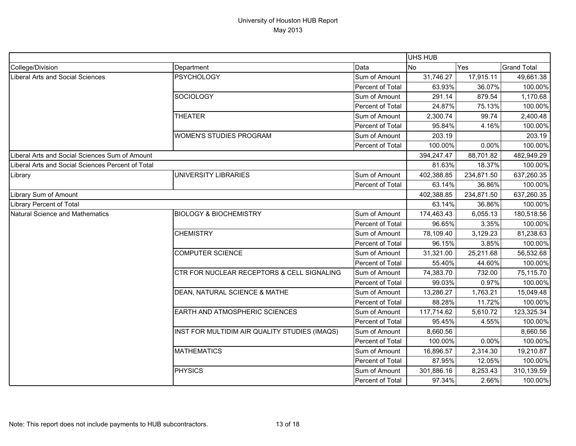|                                                   |                                               | <b>UHS HUB</b>   |            |            |                    |
|---------------------------------------------------|-----------------------------------------------|------------------|------------|------------|--------------------|
| College/Division                                  | Department                                    | Data             | <b>No</b>  | Yes        | <b>Grand Total</b> |
| <b>Liberal Arts and Social Sciences</b>           | <b>PSYCHOLOGY</b>                             | Sum of Amount    | 31,746.27  | 17,915.11  | 49,661.38          |
|                                                   |                                               | Percent of Total | 63.93%     | 36.07%     | 100.00%            |
|                                                   | <b>SOCIOLOGY</b>                              | Sum of Amount    | 291.14     | 879.54     | 1,170.68           |
|                                                   |                                               | Percent of Total | 24.87%     | 75.13%     | 100.00%            |
|                                                   | <b>THEATER</b>                                | Sum of Amount    | 2,300.74   | 99.74      | 2,400.48           |
|                                                   |                                               | Percent of Total | 95.84%     | 4.16%      | 100.00%            |
|                                                   | <b>WOMEN'S STUDIES PROGRAM</b>                | Sum of Amount    | 203.19     |            | 203.19             |
|                                                   |                                               | Percent of Total | 100.00%    | 0.00%      | 100.00%            |
| Liberal Arts and Social Sciences Sum of Amount    |                                               |                  | 394,247.47 | 88,701.82  | 482,949.29         |
| Liberal Arts and Social Sciences Percent of Total |                                               |                  | 81.63%     | 18.37%     | 100.00%            |
| Library                                           | <b>UNIVERSITY LIBRARIES</b>                   | Sum of Amount    | 402,388.85 | 234,871.50 | 637,260.35         |
|                                                   |                                               | Percent of Total | 63.14%     | 36.86%     | 100.00%            |
| Library Sum of Amount                             |                                               | 402,388.85       | 234,871.50 | 637,260.35 |                    |
| <b>Library Percent of Total</b>                   |                                               |                  | 63.14%     | 36.86%     | 100.00%            |
| <b>Natural Science and Mathematics</b>            | <b>BIOLOGY &amp; BIOCHEMISTRY</b>             | Sum of Amount    | 174,463.43 | 6,055.13   | 180,518.56         |
|                                                   |                                               | Percent of Total | 96.65%     | 3.35%      | 100.00%            |
|                                                   | <b>CHEMISTRY</b>                              | Sum of Amount    | 78,109.40  | 3,129.23   | 81,238.63          |
|                                                   |                                               | Percent of Total | 96.15%     | 3.85%      | 100.00%            |
|                                                   | <b>COMPUTER SCIENCE</b>                       | Sum of Amount    | 31,321.00  | 25,211.68  | 56,532.68          |
|                                                   |                                               | Percent of Total | 55.40%     | 44.60%     | 100.00%            |
|                                                   | CTR FOR NUCLEAR RECEPTORS & CELL SIGNALING    | Sum of Amount    | 74,383.70  | 732.00     | 75,115.70          |
|                                                   |                                               | Percent of Total | 99.03%     | 0.97%      | 100.00%            |
|                                                   | DEAN, NATURAL SCIENCE & MATHE                 | Sum of Amount    | 13,286.27  | 1,763.21   | 15,049.48          |
|                                                   |                                               | Percent of Total | 88.28%     | 11.72%     | 100.00%            |
|                                                   | EARTH AND ATMOSPHERIC SCIENCES                | Sum of Amount    | 117,714.62 | 5,610.72   | 123,325.34         |
|                                                   |                                               | Percent of Total | 95.45%     | 4.55%      | 100.00%            |
|                                                   | INST FOR MULTIDIM AIR QUALITY STUDIES (IMAQS) | Sum of Amount    | 8,660.56   |            | 8,660.56           |
|                                                   |                                               | Percent of Total | 100.00%    | 0.00%      | 100.00%            |
|                                                   | <b>MATHEMATICS</b>                            | Sum of Amount    | 16,896.57  | 2,314.30   | 19,210.87          |
|                                                   |                                               | Percent of Total | 87.95%     | 12.05%     | 100.00%            |
|                                                   | <b>PHYSICS</b>                                | Sum of Amount    | 301,886.16 | 8,253.43   | 310,139.59         |
|                                                   |                                               | Percent of Total | 97.34%     | 2.66%      | 100.00%            |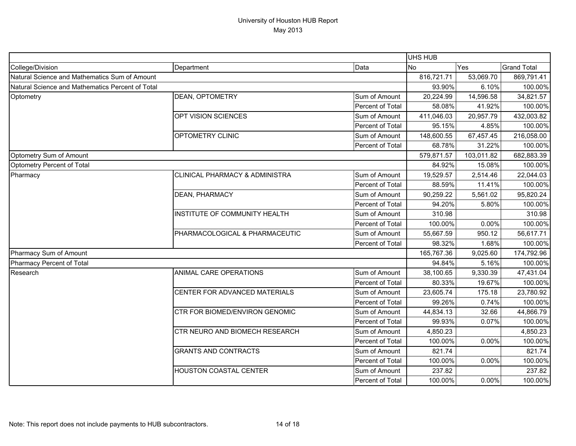|                                                  |                                           | UHS HUB          |            |            |                    |
|--------------------------------------------------|-------------------------------------------|------------------|------------|------------|--------------------|
| College/Division                                 | Department                                | Data             | <b>No</b>  | Yes        | <b>Grand Total</b> |
| Natural Science and Mathematics Sum of Amount    |                                           |                  | 816,721.71 | 53,069.70  | 869,791.41         |
| Natural Science and Mathematics Percent of Total |                                           | 93.90%           | 6.10%      | 100.00%    |                    |
| Optometry                                        | <b>DEAN, OPTOMETRY</b>                    | Sum of Amount    | 20,224.99  | 14,596.58  | 34,821.57          |
|                                                  |                                           | Percent of Total | 58.08%     | 41.92%     | 100.00%            |
|                                                  | OPT VISION SCIENCES                       | Sum of Amount    | 411,046.03 | 20,957.79  | 432,003.82         |
|                                                  |                                           | Percent of Total | 95.15%     | 4.85%      | 100.00%            |
|                                                  | OPTOMETRY CLINIC                          | Sum of Amount    | 148,600.55 | 67,457.45  | 216,058.00         |
|                                                  |                                           | Percent of Total | 68.78%     | 31.22%     | 100.00%            |
| Optometry Sum of Amount                          |                                           |                  | 579,871.57 | 103,011.82 | 682,883.39         |
| Optometry Percent of Total                       |                                           |                  | 84.92%     | 15.08%     | 100.00%            |
| Pharmacy                                         | <b>CLINICAL PHARMACY &amp; ADMINISTRA</b> | Sum of Amount    | 19,529.57  | 2,514.46   | 22,044.03          |
|                                                  |                                           | Percent of Total | 88.59%     | 11.41%     | 100.00%            |
|                                                  | <b>DEAN, PHARMACY</b>                     | Sum of Amount    | 90,259.22  | 5,561.02   | 95,820.24          |
|                                                  |                                           | Percent of Total | 94.20%     | 5.80%      | 100.00%            |
|                                                  | INSTITUTE OF COMMUNITY HEALTH             | Sum of Amount    | 310.98     |            | 310.98             |
|                                                  |                                           | Percent of Total | 100.00%    | $0.00\%$   | 100.00%            |
|                                                  | PHARMACOLOGICAL & PHARMACEUTIC            | Sum of Amount    | 55,667.59  | 950.12     | 56,617.71          |
|                                                  |                                           | Percent of Total | 98.32%     | 1.68%      | 100.00%            |
| Pharmacy Sum of Amount                           |                                           | 165,767.36       | 9,025.60   | 174,792.96 |                    |
| Pharmacy Percent of Total                        |                                           |                  | 94.84%     | 5.16%      | 100.00%            |
| Research                                         | ANIMAL CARE OPERATIONS                    | Sum of Amount    | 38,100.65  | 9,330.39   | 47,431.04          |
|                                                  |                                           | Percent of Total | 80.33%     | 19.67%     | 100.00%            |
|                                                  | CENTER FOR ADVANCED MATERIALS             | Sum of Amount    | 23,605.74  | 175.18     | 23,780.92          |
|                                                  |                                           | Percent of Total | 99.26%     | 0.74%      | 100.00%            |
|                                                  | CTR FOR BIOMED/ENVIRON GENOMIC            | Sum of Amount    | 44,834.13  | 32.66      | 44,866.79          |
|                                                  |                                           | Percent of Total | 99.93%     | 0.07%      | 100.00%            |
|                                                  | CTR NEURO AND BIOMECH RESEARCH            | Sum of Amount    | 4,850.23   |            | 4,850.23           |
|                                                  |                                           | Percent of Total | 100.00%    | $0.00\%$   | 100.00%            |
|                                                  | <b>GRANTS AND CONTRACTS</b>               | Sum of Amount    | 821.74     |            | 821.74             |
|                                                  |                                           | Percent of Total | 100.00%    | 0.00%      | 100.00%            |
|                                                  | <b>HOUSTON COASTAL CENTER</b>             | Sum of Amount    | 237.82     |            | 237.82             |
|                                                  |                                           | Percent of Total | 100.00%    | $0.00\%$   | 100.00%            |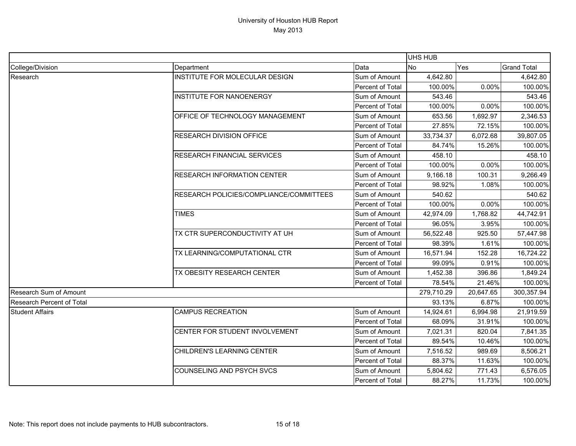|                                  |                                         |                         | <b>UHS HUB</b> |           |                    |
|----------------------------------|-----------------------------------------|-------------------------|----------------|-----------|--------------------|
| College/Division                 | Department                              | Data                    | <b>No</b>      | Yes       | <b>Grand Total</b> |
| Research                         | INSTITUTE FOR MOLECULAR DESIGN          | Sum of Amount           | 4,642.80       |           | 4,642.80           |
|                                  |                                         | <b>Percent of Total</b> | 100.00%        | 0.00%     | 100.00%            |
|                                  | <b>INSTITUTE FOR NANOENERGY</b>         | Sum of Amount           | 543.46         |           | 543.46             |
|                                  |                                         | Percent of Total        | 100.00%        | 0.00%     | 100.00%            |
|                                  | OFFICE OF TECHNOLOGY MANAGEMENT         | Sum of Amount           | 653.56         | 1,692.97  | 2,346.53           |
|                                  |                                         | Percent of Total        | 27.85%         | 72.15%    | 100.00%            |
|                                  | RESEARCH DIVISION OFFICE                | Sum of Amount           | 33,734.37      | 6,072.68  | 39,807.05          |
|                                  |                                         | Percent of Total        | 84.74%         | 15.26%    | 100.00%            |
|                                  | RESEARCH FINANCIAL SERVICES             | Sum of Amount           | 458.10         |           | 458.10             |
|                                  |                                         | Percent of Total        | 100.00%        | 0.00%     | 100.00%            |
|                                  | <b>RESEARCH INFORMATION CENTER</b>      | Sum of Amount           | 9,166.18       | 100.31    | 9,266.49           |
|                                  |                                         | Percent of Total        | 98.92%         | 1.08%     | 100.00%            |
|                                  | RESEARCH POLICIES/COMPLIANCE/COMMITTEES | Sum of Amount           | 540.62         |           | 540.62             |
|                                  |                                         | Percent of Total        | 100.00%        | 0.00%     | 100.00%            |
|                                  | <b>TIMES</b>                            | Sum of Amount           | 42,974.09      | 1,768.82  | 44,742.91          |
|                                  |                                         | Percent of Total        | 96.05%         | 3.95%     | 100.00%            |
|                                  | TX CTR SUPERCONDUCTIVITY AT UH          | Sum of Amount           | 56,522.48      | 925.50    | 57,447.98          |
|                                  |                                         | Percent of Total        | 98.39%         | 1.61%     | 100.00%            |
|                                  | TX LEARNING/COMPUTATIONAL CTR           | Sum of Amount           | 16,571.94      | 152.28    | 16,724.22          |
|                                  |                                         | Percent of Total        | 99.09%         | 0.91%     | 100.00%            |
|                                  | TX OBESITY RESEARCH CENTER              | Sum of Amount           | 1,452.38       | 396.86    | 1,849.24           |
|                                  |                                         | Percent of Total        | 78.54%         | 21.46%    | 100.00%            |
| Research Sum of Amount           |                                         |                         | 279,710.29     | 20,647.65 | 300,357.94         |
| <b>Research Percent of Total</b> |                                         |                         | 93.13%         | 6.87%     | 100.00%            |
| <b>Student Affairs</b>           | <b>CAMPUS RECREATION</b>                | Sum of Amount           | 14,924.61      | 6,994.98  | 21,919.59          |
|                                  |                                         | Percent of Total        | 68.09%         | 31.91%    | 100.00%            |
|                                  | CENTER FOR STUDENT INVOLVEMENT          | Sum of Amount           | 7,021.31       | 820.04    | 7,841.35           |
|                                  |                                         | Percent of Total        | 89.54%         | 10.46%    | 100.00%            |
|                                  | CHILDREN'S LEARNING CENTER              | Sum of Amount           | 7,516.52       | 989.69    | 8,506.21           |
|                                  |                                         | Percent of Total        | 88.37%         | 11.63%    | 100.00%            |
|                                  | COUNSELING AND PSYCH SVCS               | Sum of Amount           | 5,804.62       | 771.43    | 6,576.05           |
|                                  |                                         | Percent of Total        | 88.27%         | 11.73%    | 100.00%            |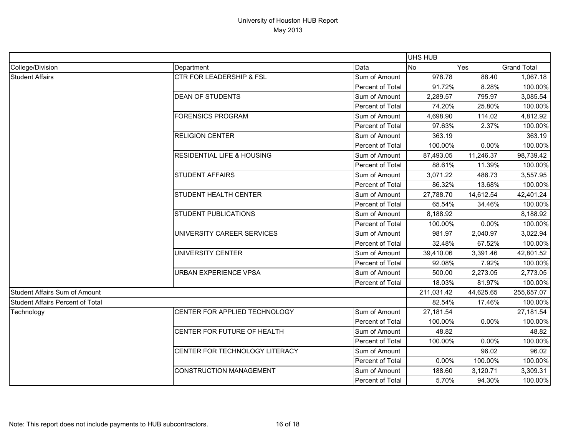|                                         |                                                                                |                  | <b>UHS HUB</b> |           |                    |
|-----------------------------------------|--------------------------------------------------------------------------------|------------------|----------------|-----------|--------------------|
| College/Division                        | Department                                                                     | Data             | <b>No</b>      | Yes       | <b>Grand Total</b> |
| <b>Student Affairs</b>                  | <b>CTR FOR LEADERSHIP &amp; FSL</b>                                            | Sum of Amount    | 978.78         | 88.40     | 1,067.18           |
|                                         |                                                                                | Percent of Total | 91.72%         | 8.28%     | 100.00%            |
|                                         | <b>DEAN OF STUDENTS</b>                                                        | Sum of Amount    | 2,289.57       | 795.97    | 3,085.54           |
|                                         |                                                                                | Percent of Total | 74.20%         | 25.80%    | 100.00%            |
|                                         | <b>FORENSICS PROGRAM</b>                                                       | Sum of Amount    | 4,698.90       | 114.02    | 4,812.92           |
|                                         |                                                                                | Percent of Total | 97.63%         | 2.37%     | 100.00%            |
|                                         | <b>RELIGION CENTER</b>                                                         | Sum of Amount    | 363.19         |           | 363.19             |
|                                         |                                                                                | Percent of Total | 100.00%        | 0.00%     | 100.00%            |
|                                         | <b>RESIDENTIAL LIFE &amp; HOUSING</b>                                          | Sum of Amount    | 87,493.05      | 11,246.37 | 98,739.42          |
|                                         |                                                                                | Percent of Total | 88.61%         | 11.39%    | 100.00%            |
|                                         | <b>STUDENT AFFAIRS</b><br>STUDENT HEALTH CENTER<br><b>STUDENT PUBLICATIONS</b> | Sum of Amount    | 3,071.22       | 486.73    | 3,557.95           |
|                                         |                                                                                | Percent of Total | 86.32%         | 13.68%    | 100.00%            |
|                                         |                                                                                | Sum of Amount    | 27,788.70      | 14,612.54 | 42,401.24          |
|                                         |                                                                                | Percent of Total | 65.54%         | 34.46%    | 100.00%            |
|                                         |                                                                                | Sum of Amount    | 8,188.92       |           | 8,188.92           |
|                                         |                                                                                | Percent of Total | 100.00%        | 0.00%     | 100.00%            |
|                                         | UNIVERSITY CAREER SERVICES                                                     | Sum of Amount    | 981.97         | 2,040.97  | 3,022.94           |
|                                         |                                                                                | Percent of Total | 32.48%         | 67.52%    | 100.00%            |
|                                         | <b>UNIVERSITY CENTER</b>                                                       | Sum of Amount    | 39,410.06      | 3,391.46  | 42,801.52          |
|                                         |                                                                                | Percent of Total | 92.08%         | 7.92%     | 100.00%            |
|                                         | <b>URBAN EXPERIENCE VPSA</b>                                                   | Sum of Amount    | 500.00         | 2,273.05  | 2,773.05           |
|                                         |                                                                                | Percent of Total | 18.03%         | 81.97%    | 100.00%            |
| <b>Student Affairs Sum of Amount</b>    |                                                                                |                  | 211,031.42     | 44,625.65 | 255,657.07         |
| <b>Student Affairs Percent of Total</b> |                                                                                |                  | 82.54%         | 17.46%    | 100.00%            |
| Technology                              | CENTER FOR APPLIED TECHNOLOGY                                                  | Sum of Amount    | 27,181.54      |           | 27,181.54          |
|                                         |                                                                                | Percent of Total | 100.00%        | 0.00%     | 100.00%            |
|                                         | CENTER FOR FUTURE OF HEALTH                                                    | Sum of Amount    | 48.82          |           | 48.82              |
|                                         |                                                                                | Percent of Total | 100.00%        | 0.00%     | 100.00%            |
|                                         | CENTER FOR TECHNOLOGY LITERACY                                                 | Sum of Amount    |                | 96.02     | 96.02              |
|                                         |                                                                                | Percent of Total | 0.00%          | 100.00%   | 100.00%            |
|                                         | <b>CONSTRUCTION MANAGEMENT</b>                                                 | Sum of Amount    | 188.60         | 3,120.71  | 3,309.31           |
|                                         |                                                                                | Percent of Total | 5.70%          | 94.30%    | 100.00%            |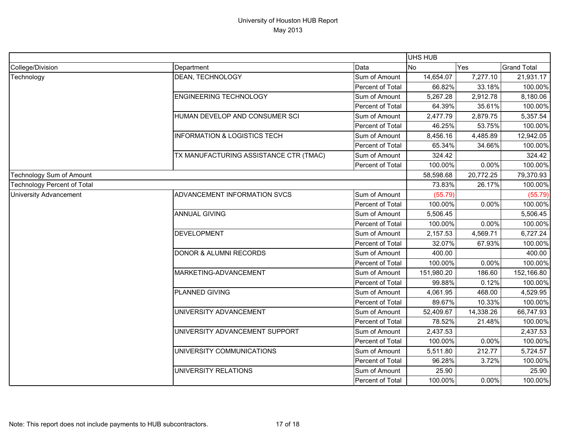|                                    |                                         | UHS HUB          |            |           |                    |
|------------------------------------|-----------------------------------------|------------------|------------|-----------|--------------------|
| College/Division                   | Department                              | Data             | <b>No</b>  | Yes       | <b>Grand Total</b> |
| Technology                         | DEAN, TECHNOLOGY                        | Sum of Amount    | 14,654.07  | 7,277.10  | 21,931.17          |
|                                    |                                         | Percent of Total | 66.82%     | 33.18%    | 100.00%            |
|                                    | <b>ENGINEERING TECHNOLOGY</b>           | Sum of Amount    | 5,267.28   | 2,912.78  | 8,180.06           |
|                                    |                                         | Percent of Total | 64.39%     | 35.61%    | 100.00%            |
|                                    | HUMAN DEVELOP AND CONSUMER SCI          | Sum of Amount    | 2,477.79   | 2,879.75  | 5,357.54           |
|                                    |                                         | Percent of Total | 46.25%     | 53.75%    | 100.00%            |
|                                    | <b>INFORMATION &amp; LOGISTICS TECH</b> | Sum of Amount    | 8,456.16   | 4,485.89  | 12,942.05          |
|                                    |                                         | Percent of Total | 65.34%     | 34.66%    | 100.00%            |
|                                    | TX MANUFACTURING ASSISTANCE CTR (TMAC)  | Sum of Amount    | 324.42     |           | 324.42             |
|                                    |                                         | Percent of Total | 100.00%    | 0.00%     | 100.00%            |
| Technology Sum of Amount           |                                         |                  | 58,598.68  | 20,772.25 | 79,370.93          |
| <b>Technology Percent of Total</b> |                                         |                  | 73.83%     | 26.17%    | 100.00%            |
| <b>University Advancement</b>      | ADVANCEMENT INFORMATION SVCS            | Sum of Amount    | (55.79)    |           | (55.79)            |
|                                    |                                         | Percent of Total | 100.00%    | 0.00%     | 100.00%            |
|                                    | <b>ANNUAL GIVING</b>                    | Sum of Amount    | 5,506.45   |           | 5,506.45           |
|                                    |                                         | Percent of Total | 100.00%    | 0.00%     | 100.00%            |
|                                    | <b>DEVELOPMENT</b>                      | Sum of Amount    | 2,157.53   | 4,569.71  | 6,727.24           |
|                                    |                                         | Percent of Total | 32.07%     | 67.93%    | 100.00%            |
|                                    | <b>DONOR &amp; ALUMNI RECORDS</b>       | Sum of Amount    | 400.00     |           | 400.00             |
|                                    |                                         | Percent of Total | 100.00%    | 0.00%     | 100.00%            |
|                                    | MARKETING-ADVANCEMENT                   | Sum of Amount    | 151,980.20 | 186.60    | 152,166.80         |
|                                    |                                         | Percent of Total | 99.88%     | 0.12%     | 100.00%            |
|                                    | <b>PLANNED GIVING</b>                   | Sum of Amount    | 4,061.95   | 468.00    | 4,529.95           |
|                                    |                                         | Percent of Total | 89.67%     | 10.33%    | 100.00%            |
|                                    | UNIVERSITY ADVANCEMENT                  | Sum of Amount    | 52,409.67  | 14,338.26 | 66,747.93          |
|                                    |                                         | Percent of Total | 78.52%     | 21.48%    | 100.00%            |
|                                    | UNIVERSITY ADVANCEMENT SUPPORT          | Sum of Amount    | 2,437.53   |           | 2,437.53           |
|                                    |                                         | Percent of Total | 100.00%    | 0.00%     | 100.00%            |
|                                    | UNIVERSITY COMMUNICATIONS               | Sum of Amount    | 5,511.80   | 212.77    | 5,724.57           |
|                                    |                                         | Percent of Total | 96.28%     | 3.72%     | 100.00%            |
|                                    | UNIVERSITY RELATIONS                    | Sum of Amount    | 25.90      |           | 25.90              |
|                                    |                                         | Percent of Total | 100.00%    | $0.00\%$  | 100.00%            |